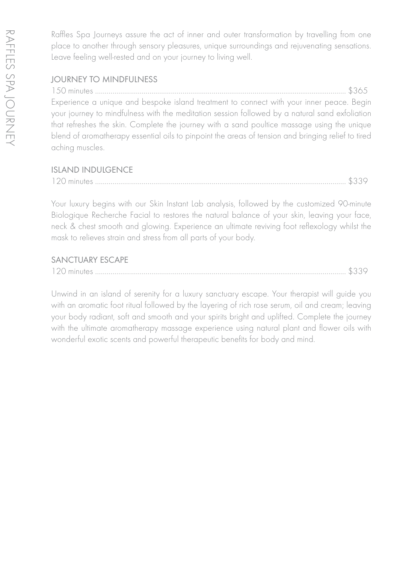Raffles Spa Journeys assure the act of inner and outer transformation by travelling from one place to another through sensory pleasures, unique surroundings and rejuvenating sensations. Leave feeling well-rested and on your journey to living well.

### JOURNEY TO MINDFULNESS

150 minutes …………………………………………………………………………………............................……… \$365 Experience a unique and bespoke island treatment to connect with your inner peace. Begin your journey to mindfulness with the meditation session followed by a natural sand exfoliation that refreshes the skin. Complete the journey with a sand poultice massage using the unique blend of aromatherapy essential oils to pinpoint the areas of tension and bringing relief to tired aching muscles.

### ISLAND INDULGENCE

| 120 minutes. |  |  |  |  |
|--------------|--|--|--|--|
|--------------|--|--|--|--|

Your luxury begins with our Skin Instant Lab analysis, followed by the customized 90-minute Biologique Recherche Facial to restores the natural balance of your skin, leaving your face, neck & chest smooth and glowing. Experience an ultimate reviving foot reflexology whilst the mask to relieves strain and stress from all parts of your body.

#### SANCTUARY ESCAPE

|--|--|--|

Unwind in an island of serenity for a luxury sanctuary escape. Your therapist will guide you with an aromatic foot ritual followed by the layering of rich rose serum, oil and cream; leaving your body radiant, soft and smooth and your spirits bright and uplifted. Complete the journey with the ultimate aromatherapy massage experience using natural plant and flower oils with wonderful exotic scents and powerful therapeutic benefits for body and mind.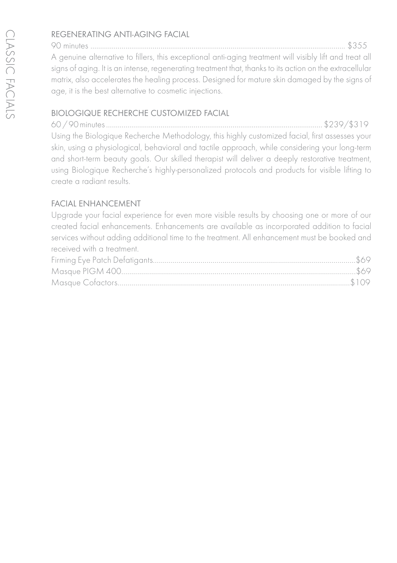## REGENERATING ANTI-AGING FACIAL

90 minutes ………………………………………………………………………………............................………….. \$355 A genuine alternative to fillers, this exceptional anti-aging treatment will visibly lift and treat all signs of aging. It is an intense, regenerating treatment that, thanks to its action on the extracellular matrix, also accelerates the healing process. Designed for mature skin damaged by the signs of age, it is the best alternative to cosmetic injections.

## BIOLOGIQUE RECHERCHE CUSTOMIZED FACIAL

60 / 90 minutes ………………………………………………………………......................……………… \$239/\$319 Using the Biologique Recherche Methodology, this highly customized facial, first assesses your skin, using a physiological, behavioral and tactile approach, while considering your long-term and short-term beauty goals. Our skilled therapist will deliver a deeply restorative treatment, using Biologique Recherche's highly-personalized protocols and products for visible lifting to create a radiant results.

## FACIAL ENHANCEMENT

Upgrade your facial experience for even more visible results by choosing one or more of our created facial enhancements. Enhancements are available as incorporated addition to facial services without adding additional time to the treatment. All enhancement must be booked and received with a treatment.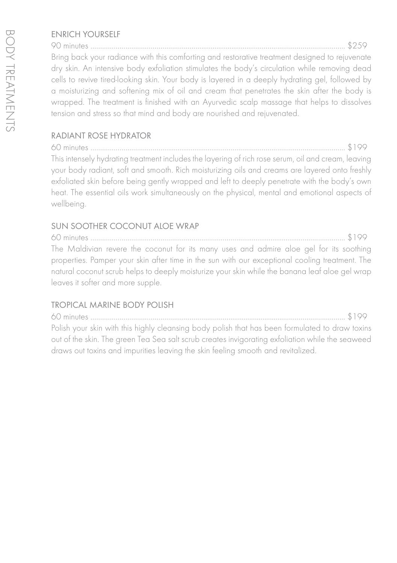## ENRICH YOURSELF

90 minutes …………………………………………………............................……………………………………….. \$259 Bring back your radiance with this comforting and restorative treatment designed to rejuvenate dry skin. An intensive body exfoliation stimulates the body's circulation while removing dead cells to revive tired-looking skin. Your body is layered in a deeply hydrating gel, followed by a moisturizing and softening mix of oil and cream that penetrates the skin after the body is wrapped. The treatment is finished with an Ayurvedic scalp massage that helps to dissolves tension and stress so that mind and body are nourished and rejuvenated.

# RADIANT ROSE HYDRATOR

60 minutes …………………………………............................……………………………………………………….. \$199 This intensely hydrating treatment includes the layering of rich rose serum, oil and cream, leaving your body radiant, soft and smooth. Rich moisturizing oils and creams are layered onto freshly exfoliated skin before being gently wrapped and left to deeply penetrate with the body's own heat. The essential oils work simultaneously on the physical, mental and emotional aspects of wellbeing.

# SUN SOOTHER COCONUT ALOE WRAP

60 minutes ………………………………………………………………………............................………………….. \$199 The Maldivian revere the coconut for its many uses and admire aloe gel for its soothing properties. Pamper your skin after time in the sun with our exceptional cooling treatment. The natural coconut scrub helps to deeply moisturize your skin while the banana leaf aloe gel wrap leaves it softer and more supple.

# TROPICAL MARINE BODY POLISH

60 minutes ………………………………………………………………............................………………………….. \$199 Polish your skin with this highly cleansing body polish that has been formulated to draw toxins out of the skin. The green Tea Sea salt scrub creates invigorating exfoliation while the seaweed draws out toxins and impurities leaving the skin feeling smooth and revitalized.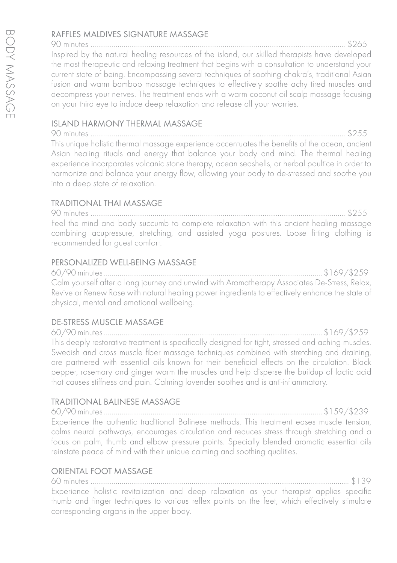### RAFFLES MALDIVES SIGNATURE MASSAGE

90 minutes …………………………………………………………………………………............................……….. \$265 Inspired by the natural healing resources of the island, our skilled therapists have developed the most therapeutic and relaxing treatment that begins with a consultation to understand your current state of being. Encompassing several techniques of soothing chakra's, traditional Asian fusion and warm bamboo massage techniques to effectively soothe achy tired muscles and decompress your nerves. The treatment ends with a warm coconut oil scalp massage focusing on your third eye to induce deep relaxation and release all your worries.

## ISLAND HARMONY THERMAL MASSAGE

90 minutes …………………………………………………………………………............................……………….. \$255 This unique holistic thermal massage experience accentuates the benefits of the ocean, ancient Asian healing rituals and energy that balance your body and mind. The thermal healing experience incorporates volcanic stone therapy, ocean seashells, or herbal poultice in order to harmonize and balance your energy flow, allowing your body to de-stressed and soothe you into a deep state of relaxation.

## TRADITIONAL THAI MASSAGE

90 minutes …………………………………………………………………............................……………………….. \$255 Feel the mind and body succumb to complete relaxation with this ancient healing massage combining acupressure, stretching, and assisted yoga postures. Loose fitting clothing is recommended for guest comfort.

#### PERSONALIZED WELL-BEING MASSAGE

60/90 minutes ………………………………………………………….......................…………………… \$169/\$259 Calm yourself after a long journey and unwind with Aromatherapy Associates De-Stress, Relax, Revive or Renew Rose with natural healing power ingredients to effectively enhance the state of physical, mental and emotional wellbeing.

#### DE-STRESS MUSCLE MASSAGE

60/90 minutes ………………………………………………………………….......................…………… \$169/\$259 This deeply restorative treatment is specifically designed for tight, stressed and aching muscles. Swedish and cross muscle fiber massage techniques combined with stretching and draining, are partnered with essential oils known for their beneficial effects on the circulation. Black pepper, rosemary and ginger warm the muscles and help disperse the buildup of lactic acid that causes stiffness and pain. Calming lavender soothes and is anti-inflammatory.

#### TRADITIONAL BALINESE MASSAGE

60/90 minutes ………………………………………………………………….......................…………… \$159/\$239 Experience the authentic traditional Balinese methods. This treatment eases muscle tension, calms neural pathways, encourages circulation and reduces stress through stretching and a focus on palm, thumb and elbow pressure points. Specially blended aromatic essential oils reinstate peace of mind with their unique calming and soothing qualities.

#### ORIENTAL FOOT MASSAGE

60 minutes ………………………………………………………………............................………………………….... \$139 Experience holistic revitalization and deep relaxation as your therapist applies specific thumb and finger techniques to various reflex points on the feet, which effectively stimulate corresponding organs in the upper body.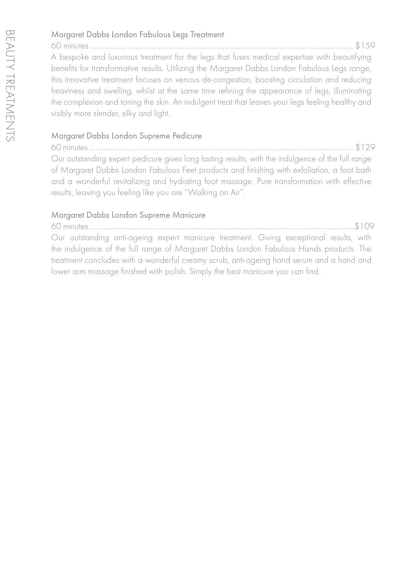## Margaret Dabbs London Fabulous Legs Treatment

60 minutes ……………………………………………………..............................…………………………………….... \$159 A bespoke and luxurious treatment for the legs that fuses medical expertise with beautifying benefits for transformative results. Utilizing the Margaret Dabbs London Fabulous Legs range, this innovative treatment focuses on venous de-congestion, boosting circulation and reducing heaviness and swelling, whilst at the same time refining the appearance of legs, illuminating the complexion and toning the skin. An indulgent treat that leaves your legs feeling healthy and visibly more slender, silky and light.

## Margaret Dabbs London Supreme Pedicure

60 minutes ……………………………………………………………………………............................……...……….... \$129 Our outstanding expert pedicure gives long lasting results, with the indulgence of the full range of Margaret Dabbs London Fabulous Feet products and finishing with exfoliation, a foot bath and a wonderful revitalizing and hydrating foot massage. Pure transformation with effective results, leaving you feeling like you are "Walking on Air".

### Margaret Dabbs London Supreme Manicure

60 minutes ……………………………………………………..............................……………………………………..…\$109 Our outstanding anti-ageing expert manicure treatment. Giving exceptional results, with the indulgence of the full range of Margaret Dabbs London Fabulous Hands products. The treatment concludes with a wonderful creamy scrub, anti-ageing hand serum and a hand and lower arm massage finished with polish. Simply the best manicure you can find.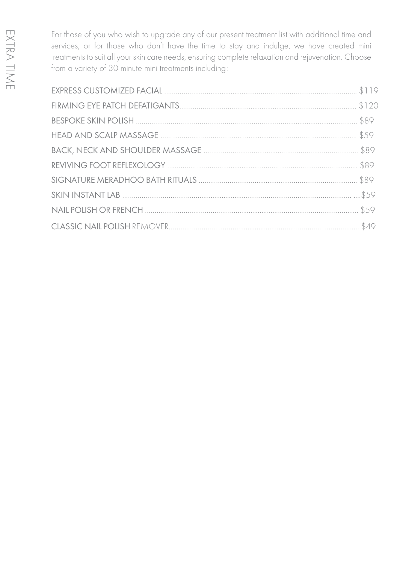For those of you who wish to upgrade any of our present treatment list with additional time and services, or for those who don't have the time to stay and indulge, we have created mini treatments to suit all your skin care needs, ensuring complete relaxation and rejuvenation. Choose from a variety of 30 minute mini treatments including: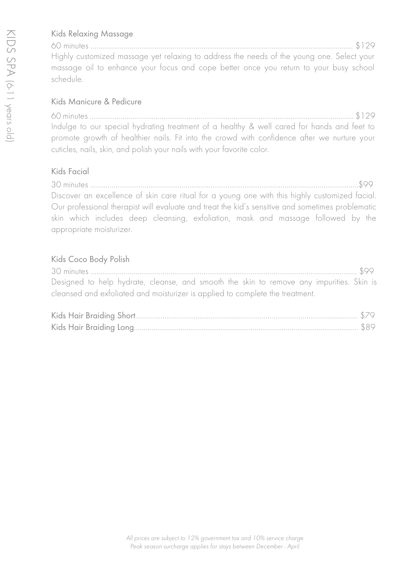## Kids Relaxing Massage

60 minutes ……………………………………………………..............................…………………………………….... \$129 Highly customized massage yet relaxing to address the needs of the young one. Select your massage oil to enhance your focus and cope better once you return to your busy school schedule.

#### Kids Manicure & Pedicure

60 minutes ……………………………………………………………………………............................……...……….... \$129 Indulge to our special hydrating treatment of a healthy & well cared for hands and feet to promote growth of healthier nails. Fit into the crowd with confidence after we nurture your cuticles, nails, skin, and polish your nails with your favorite color.

### Kids Facial

30 minutes ……………………………………………………..............................……………………………………....…\$99 Discover an excellence of skin care ritual for a young one with this highly customized facial. Our professional therapist will evaluate and treat the kid's sensitive and sometimes problematic skin which includes deep cleansing, exfoliation, mask and massage followed by the appropriate moisturizer.

### Kids Coco Body Polish

30 minutes ……………………………………………………..............................…………………………………..….... \$99 Designed to help hydrate, cleanse, and smooth the skin to remove any impurities. Skin is cleansed and exfoliated and moisturizer is applied to complete the treatment.